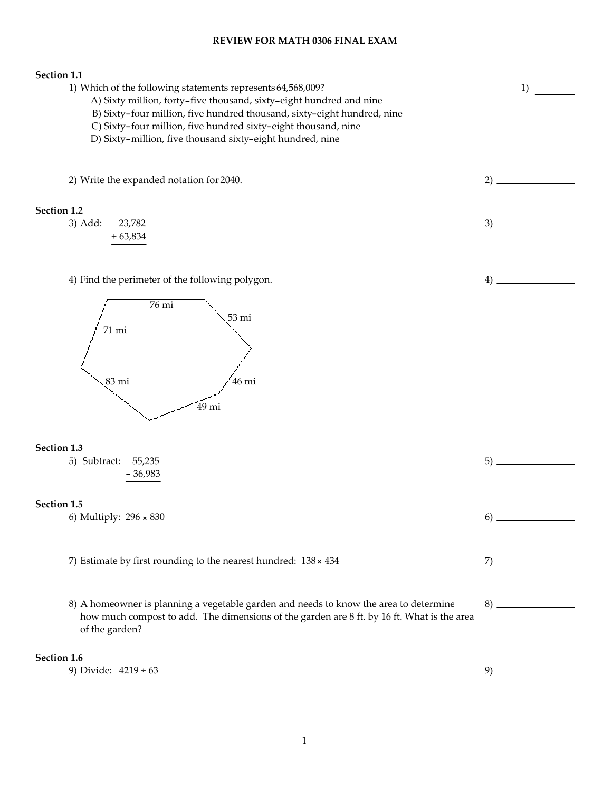#### REVIEW FOR MATH 0306 FINAL EXAM

# Section 1.1 1) Which of the following statements represents 64,568,009? A) Sixty million, forty-five thousand, sixty-eight hundred and nine B) Sixty-four million, five hundred thousand, sixty-eight hundred, nine C) Sixty-four million, five hundred sixty-eight thousand, nine D) Sixty-million, five thousand sixty-eight hundred, nine 1) 2) Write the expanded notation for 2040. 2) 2 2 Section 1.2 3) Add: 23,782 + 63,834 3) 4) Find the perimeter of the following polygon. 76 mi 53 mi 71 mi 83 mi 46 mi 49 mi 4) Section 1.3 5) Subtract: 55,235 - 36,983 5) Section 1.5 6) Multiply: 296 × 830 6) 7) Estimate by first rounding to the nearest hundred: 138 × 434 7) 8) A homeowner is planning a vegetable garden and needs to know the area to determine how much compost to add. The dimensions of the garden are 8 ft. by 16 ft. What is the area of the garden? 8) Section 1.6 9) Divide:  $4219 \div 63$  9)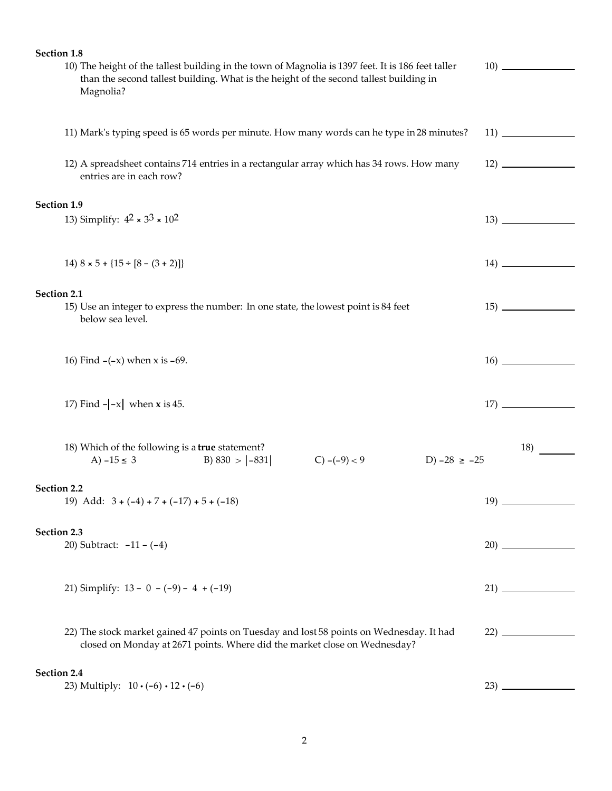| Section 1.8                                                                                                                                                                                  |     |
|----------------------------------------------------------------------------------------------------------------------------------------------------------------------------------------------|-----|
| 10) The height of the tallest building in the town of Magnolia is 1397 feet. It is 186 feet taller<br>than the second tallest building. What is the height of the second tallest building in |     |
| Magnolia?                                                                                                                                                                                    |     |
| 11) Mark's typing speed is 65 words per minute. How many words can he type in 28 minutes?                                                                                                    |     |
| 12) A spreadsheet contains 714 entries in a rectangular array which has 34 rows. How many<br>entries are in each row?                                                                        |     |
| Section 1.9                                                                                                                                                                                  |     |
| 13) Simplify: $4^2 \times 3^3 \times 10^2$                                                                                                                                                   |     |
| 14) $8 \times 5 + \{15 \div [8 - (3 + 2)]\}$                                                                                                                                                 |     |
| Section 2.1                                                                                                                                                                                  |     |
| 15) Use an integer to express the number: In one state, the lowest point is 84 feet<br>below sea level.                                                                                      |     |
| 16) Find $-(-x)$ when $x$ is $-69$ .                                                                                                                                                         |     |
| 17) Find $- -x $ when <b>x</b> is 45.                                                                                                                                                        |     |
|                                                                                                                                                                                              |     |
| 18) Which of the following is a true statement?<br>B) $830 >  -831 $<br>A) $-15 \le 3$<br>$C$ ) $-(-9) < 9$<br>D) $-28 \ge -25$                                                              | 18) |
| Section 2.2                                                                                                                                                                                  |     |
| 19) Add: $3 + (-4) + 7 + (-17) + 5 + (-18)$                                                                                                                                                  |     |
| Section 2.3                                                                                                                                                                                  |     |
| 20) Subtract: $-11 - (-4)$                                                                                                                                                                   |     |
| 21) Simplify: $13 - 0 - (-9) - 4 + (-19)$                                                                                                                                                    |     |
|                                                                                                                                                                                              |     |
| 22) The stock market gained 47 points on Tuesday and lost 58 points on Wednesday. It had<br>closed on Monday at 2671 points. Where did the market close on Wednesday?                        |     |
| Section 2.4                                                                                                                                                                                  |     |
| 23) Multiply: $10 \cdot (-6) \cdot 12 \cdot (-6)$                                                                                                                                            |     |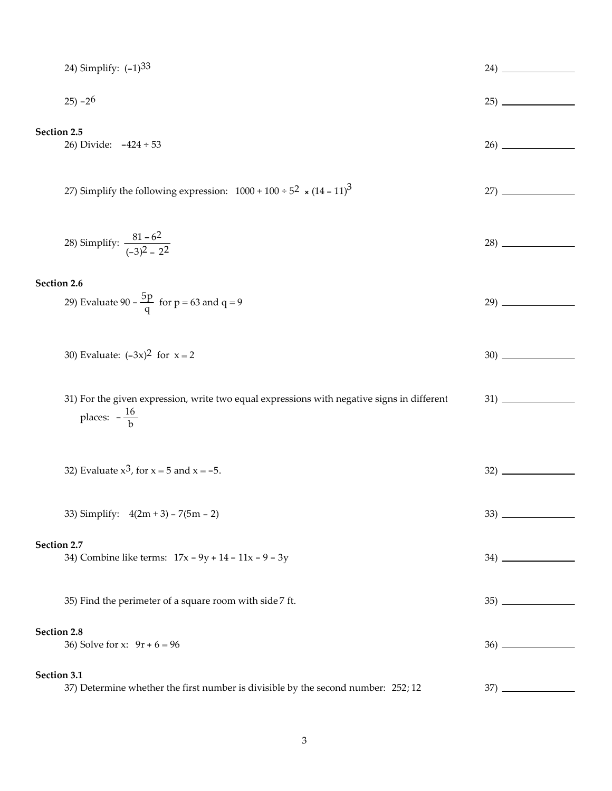| 24) Simplify: $(-1)^{33}$                                                                                             |     |
|-----------------------------------------------------------------------------------------------------------------------|-----|
| $25) - 26$                                                                                                            |     |
| Section 2.5<br>26) Divide: $-424 \div 53$                                                                             |     |
| 27) Simplify the following expression: $1000 + 100 \div 5^2 \times (14 - 11)^3$                                       | 27) |
| 28) Simplify: $\frac{81-62}{(-3)^2-2^2}$                                                                              |     |
| Section 2.6                                                                                                           |     |
| 29) Evaluate 90 – $\frac{5p}{q}$ for p = 63 and q = 9                                                                 | 29) |
| 30) Evaluate: $(-3x)^2$ for $x = 2$                                                                                   |     |
| 31) For the given expression, write two equal expressions with negative signs in different<br>places: $-\frac{16}{h}$ |     |
| 32) Evaluate $x^3$ , for $x = 5$ and $x = -5$ .                                                                       |     |
| 33) Simplify: $4(2m + 3) - 7(5m - 2)$                                                                                 |     |
| Section 2.7                                                                                                           |     |
| 34) Combine like terms: $17x - 9y + 14 - 11x - 9 - 3y$                                                                |     |
| 35) Find the perimeter of a square room with side 7 ft.                                                               |     |
| Section 2.8<br>36) Solve for x: $9r + 6 = 96$                                                                         |     |
| Section 3.1<br>37) Determine whether the first number is divisible by the second number: 252; 12                      |     |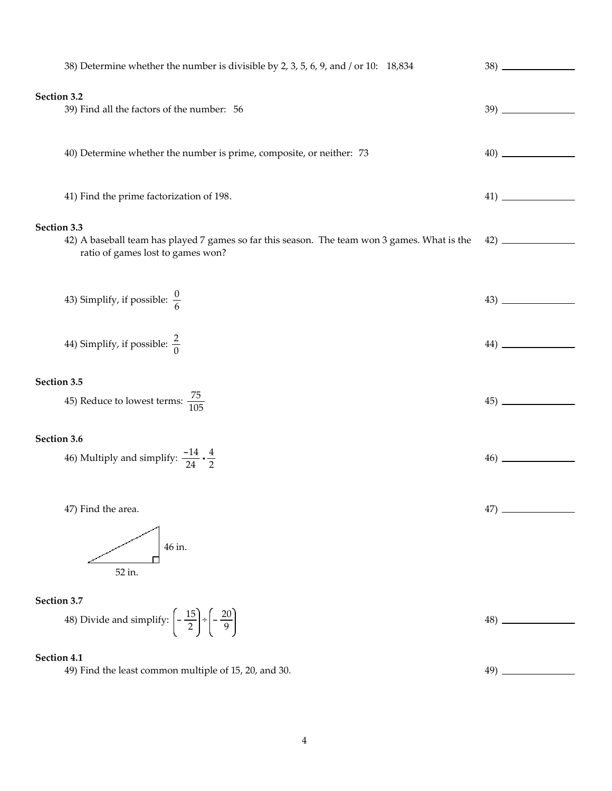| 38) Determine whether the number is divisible by 2, 3, 5, 6, 9, and / or 10: 18,834                                                              |                               |
|--------------------------------------------------------------------------------------------------------------------------------------------------|-------------------------------|
| Section 3.2<br>39) Find all the factors of the number: 56                                                                                        |                               |
| 40) Determine whether the number is prime, composite, or neither: 73                                                                             |                               |
| 41) Find the prime factorization of 198.                                                                                                         |                               |
| Section 3.3<br>42) A baseball team has played 7 games so far this season. The team won 3 games. What is the<br>ratio of games lost to games won? | $\left( \frac{42}{2} \right)$ |
| 43) Simplify, if possible: $\frac{0}{6}$                                                                                                         |                               |
| 44) Simplify, if possible: $\frac{2}{0}$                                                                                                         |                               |
| Section 3.5                                                                                                                                      |                               |
| 45) Reduce to lowest terms: $\frac{75}{105}$                                                                                                     |                               |
| Section 3.6                                                                                                                                      |                               |
| 46) Multiply and simplify: $\frac{-14}{24} \cdot \frac{4}{2}$                                                                                    |                               |
| 47) Find the area.                                                                                                                               | $47)$ .                       |
| 46 in.<br>52 in.                                                                                                                                 |                               |
| Section 3.7                                                                                                                                      |                               |
| 48) Divide and simplify: $\left(-\frac{15}{2}\right) \div \left(-\frac{20}{9}\right)$                                                            | 48)                           |
| Section 4.1                                                                                                                                      |                               |
| 49) Find the least common multiple of 15, 20, and 30.                                                                                            |                               |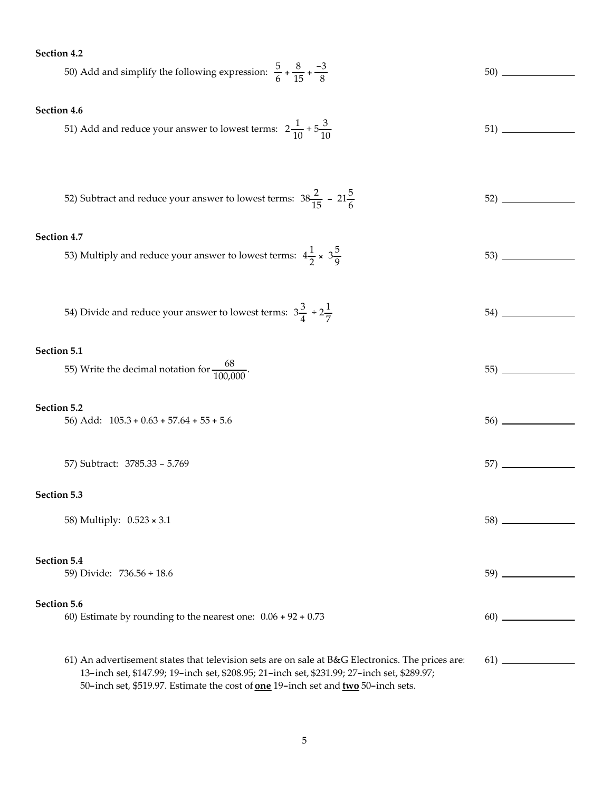### Section 4.2

| 50) Add and simplify the following expression: $\frac{5}{6} + \frac{8}{15} + \frac{-3}{8}$                                                                                                      |  |
|-------------------------------------------------------------------------------------------------------------------------------------------------------------------------------------------------|--|
|                                                                                                                                                                                                 |  |
| Section 4.6                                                                                                                                                                                     |  |
|                                                                                                                                                                                                 |  |
| 51) Add and reduce your answer to lowest terms: $2\frac{1}{10} + 5\frac{3}{10}$                                                                                                                 |  |
|                                                                                                                                                                                                 |  |
|                                                                                                                                                                                                 |  |
|                                                                                                                                                                                                 |  |
| 52) Subtract and reduce your answer to lowest terms: $38\frac{2}{15} - 21\frac{5}{6}$                                                                                                           |  |
|                                                                                                                                                                                                 |  |
| Section 4.7                                                                                                                                                                                     |  |
| 53) Multiply and reduce your answer to lowest terms: $4\frac{1}{2} \times 3\frac{5}{9}$                                                                                                         |  |
|                                                                                                                                                                                                 |  |
|                                                                                                                                                                                                 |  |
|                                                                                                                                                                                                 |  |
| 54) Divide and reduce your answer to lowest terms: $3\frac{3}{4} \div 2\frac{1}{7}$                                                                                                             |  |
|                                                                                                                                                                                                 |  |
| Section 5.1                                                                                                                                                                                     |  |
| 55) Write the decimal notation for $\frac{68}{100.000}$ .                                                                                                                                       |  |
|                                                                                                                                                                                                 |  |
| Section 5.2                                                                                                                                                                                     |  |
| 56) Add: $105.3 + 0.63 + 57.64 + 55 + 5.6$                                                                                                                                                      |  |
|                                                                                                                                                                                                 |  |
|                                                                                                                                                                                                 |  |
| 57) Subtract: 3785.33 - 5.769                                                                                                                                                                   |  |
|                                                                                                                                                                                                 |  |
| Section 5.3                                                                                                                                                                                     |  |
| 58) Multiply: 0.523 x 3.1                                                                                                                                                                       |  |
|                                                                                                                                                                                                 |  |
| Section 5.4                                                                                                                                                                                     |  |
| 59) Divide: 736.56 ÷ 18.6                                                                                                                                                                       |  |
|                                                                                                                                                                                                 |  |
| Section 5.6                                                                                                                                                                                     |  |
| 60) Estimate by rounding to the nearest one: $0.06 + 92 + 0.73$                                                                                                                                 |  |
|                                                                                                                                                                                                 |  |
|                                                                                                                                                                                                 |  |
| 61) An advertisement states that television sets are on sale at B&G Electronics. The prices are:<br>13-inch set, \$147.99; 19-inch set, \$208.95; 21-inch set, \$231.99; 27-inch set, \$289.97; |  |

50-inch set, \$519.97. Estimate the cost of **one** 19-inch set and **two** 50-inch sets.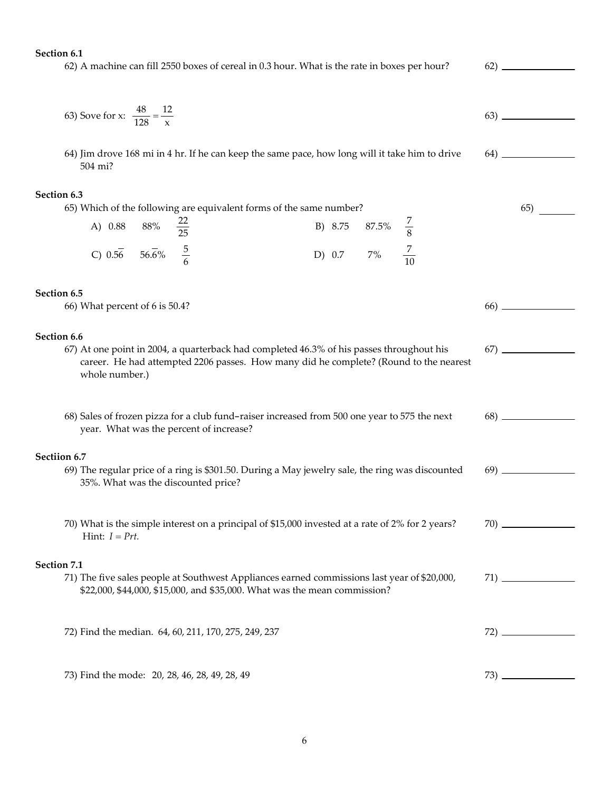Section 6.1

62) A machine can fill 2550 boxes of cereal in 0.3 hour. What is the rate in boxes per hour? 62)

63) Solve for x: 
$$
\frac{48}{128} = \frac{12}{x}
$$

64)

67)

70)

71)

65)

64) Jim drove 168 mi in 4 hr. If he can keep the same pace, how long will it take him to drive 504 mi?

#### Section 6.3

|                                             |  | 65) Which of the following are equivalent forms of the same number? |  |                             |  |
|---------------------------------------------|--|---------------------------------------------------------------------|--|-----------------------------|--|
| A) 0.88 88% $\frac{22}{25}$                 |  |                                                                     |  | B) 8.75 87.5% $\frac{7}{8}$ |  |
| C) $0.56$ $56.\overline{6}\%$ $\frac{5}{6}$ |  |                                                                     |  | D) 0.7 7% $\frac{7}{10}$    |  |

#### Section 6.5

66) What percent of 6 is 50.4? 66)

#### Section 6.6

67) At one point in 2004, a quarterback had completed 46.3% of his passes throughout his career. He had attempted 2206 passes. How many did he complete? (Round to the nearest whole number.)

| 68) Sales of frozen pizza for a club fund-raiser increased from 500 one year to 575 the next | 68) |  |
|----------------------------------------------------------------------------------------------|-----|--|
| year. What was the percent of increase?                                                      |     |  |

#### Sectiion 6.7

- 69) The regular price of a ring is \$301.50. During a May jewelry sale, the ring was discounted 35%. What was the discounted price? 69)
- 70) What is the simple interest on a principal of \$15,000 invested at a rate of 2% for 2 years? Hint:  $I = Prt$ .

### Section 7.1

71) The five sales people at Southwest Appliances earned commissions last year of \$20,000, \$22,000, \$44,000, \$15,000, and \$35,000. What was the mean commission?

72) Find the median. 64, 60, 211, 170, 275, 249, 237 72)

73) Find the mode: 20, 28, 46, 28, 49, 28, 49 73) 73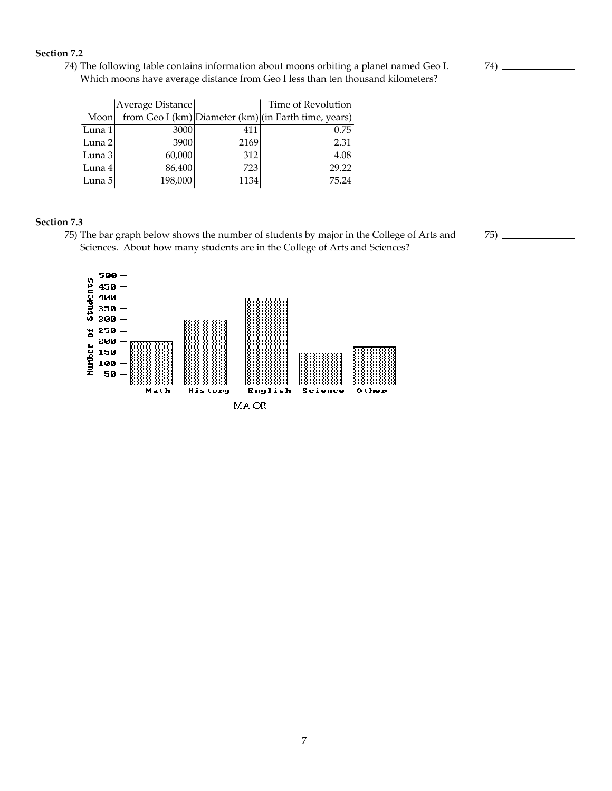### Section 7.2

74) The following table contains information about moons orbiting a planet named Geo I. Which moons have average distance from Geo I less than ten thousand kilometers?

|        | Average Distance |      | Time of Revolution                                   |
|--------|------------------|------|------------------------------------------------------|
| Moon   |                  |      | from Geo I (km) Diameter (km) (in Earth time, years) |
| Luna 1 | 3000             | 411  | 0.75                                                 |
| Luna 2 | 3900             | 2169 | 2.31                                                 |
| Luna 3 | 60,000           | 312  | 4.08                                                 |
| Luna 4 | 86,400           | 723  | 29.22                                                |
| Luna 5 | 198,000          | 1134 | 75.24                                                |

### Section 7.3

75) The bar graph below shows the number of students by major in the College of Arts and Sciences. About how many students are in the College of Arts and Sciences?

 $75)$  —



 $74)$  —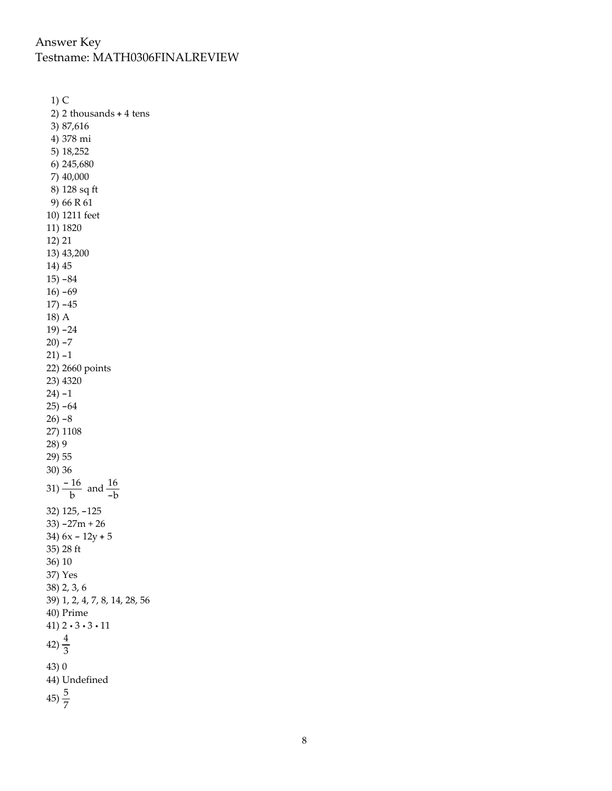# Answer Key Testname: MATH0306FINALREVIEW

1) C 2) 2 thousands + 4 tens 3) 87,616 4) 378 mi 5) 18,252 6) 245,680 7) 40,000 8) 128 sq ft 9) 66 R 61 10) 1211 feet 11) 1820 12) 21 13) 43,200 14) 45 15) -84  $16) -69$ 17) -45 18) A 19) -24 20) -7 21) -1 22) 2660 points 23) 4320 24) -1 25) -64  $26$ )  $-8$ 27) 1108 28) 9 29) 55 30) 36 31)  $\frac{-16}{b}$  and  $\frac{16}{-b}$ 32) 125, -125 33) -27m + 26 34) 6x - 12y + 5 35) 28 ft 36) 10 37) Yes 38) 2, 3, 6 39) 1, 2, 4, 7, 8, 14, 28, 56 40) Prime 41) 2 · 3 · 3 · 11  $42)\frac{4}{3}$ 43) 0 44) Undefined  $45)\frac{5}{7}$